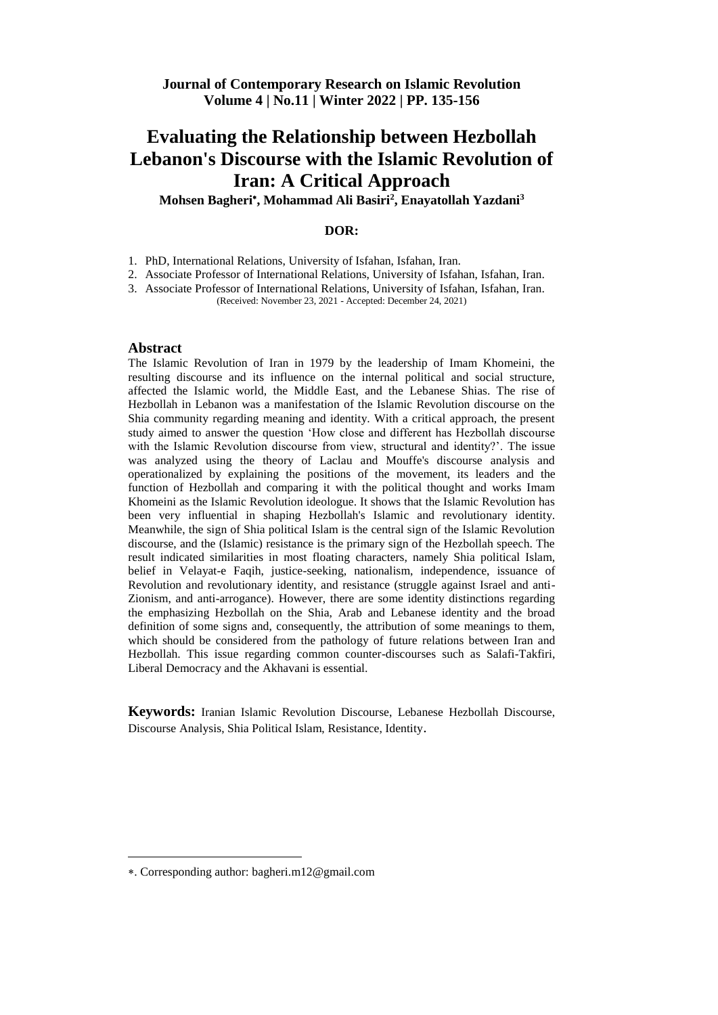**Mohsen Bagheri , Mohammad Ali Basiri<sup>2</sup> , Enayatollah Yazdani<sup>3</sup>**

# **DOR:**

1. PhD, International Relations, University of Isfahan, Isfahan, Iran.

2. Associate Professor of International Relations, University of Isfahan, Isfahan, Iran.

3. Associate Professor of International Relations, University of Isfahan, Isfahan, Iran. (Received: November 23, 2021 - Accepted: December 24, 2021)

## **Abstract**

The Islamic Revolution of Iran in 1979 by the leadership of Imam Khomeini, the resulting discourse and its influence on the internal political and social structure, affected the Islamic world, the Middle East, and the Lebanese Shias. The rise of Hezbollah in Lebanon was a manifestation of the Islamic Revolution discourse on the Shia community regarding meaning and identity. With a critical approach, the present study aimed to answer the question 'How close and different has Hezbollah discourse with the Islamic Revolution discourse from view, structural and identity?'. The issue was analyzed using the theory of Laclau and Mouffe's discourse analysis and operationalized by explaining the positions of the movement, its leaders and the function of Hezbollah and comparing it with the political thought and works Imam Khomeini as the Islamic Revolution ideologue. It shows that the Islamic Revolution has been very influential in shaping Hezbollah's Islamic and revolutionary identity. Meanwhile, the sign of Shia political Islam is the central sign of the Islamic Revolution discourse, and the (Islamic) resistance is the primary sign of the Hezbollah speech. The result indicated similarities in most floating characters, namely Shia political Islam, belief in Velayat-e Faqih, justice-seeking, nationalism, independence, issuance of Revolution and revolutionary identity, and resistance (struggle against Israel and anti-Zionism, and anti-arrogance). However, there are some identity distinctions regarding the emphasizing Hezbollah on the Shia, Arab and Lebanese identity and the broad definition of some signs and, consequently, the attribution of some meanings to them, which should be considered from the pathology of future relations between Iran and Hezbollah. This issue regarding common counter-discourses such as Salafi-Takfiri, Liberal Democracy and the Akhavani is essential.

**Keywords:** Iranian Islamic Revolution Discourse, Lebanese Hezbollah Discourse, Discourse Analysis, Shia Political Islam, Resistance, Identity.

 $\overline{a}$ 

<sup>.</sup> Corresponding author: bagheri.m12@gmail.com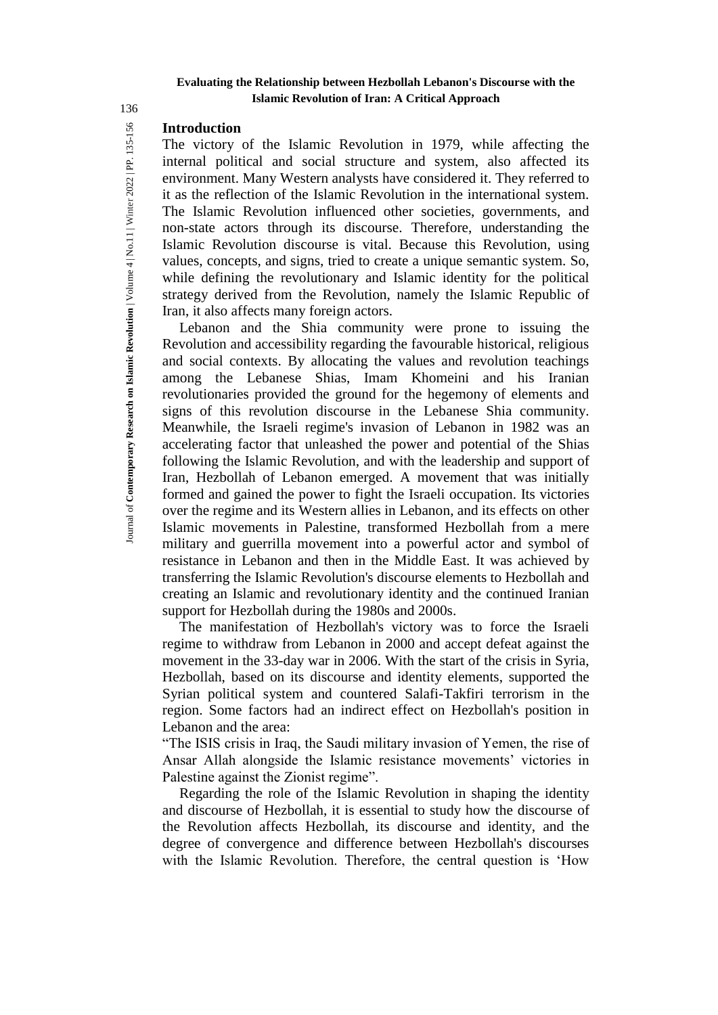# **Introduction**

The victory of the Islamic Revolution in 1979, while affecting the internal political and social structure and system, also affected its environment. Many Western analysts have considered it. They referred to it as the reflection of the Islamic Revolution in the international system. The Islamic Revolution influenced other societies, governments, and non-state actors through its discourse. Therefore, understanding the Islamic Revolution discourse is vital. Because this Revolution, using values, concepts, and signs, tried to create a unique semantic system. So, while defining the revolutionary and Islamic identity for the political strategy derived from the Revolution, namely the Islamic Republic of Iran, it also affects many foreign actors.

Lebanon and the Shia community were prone to issuing the Revolution and accessibility regarding the favourable historical, religious and social contexts. By allocating the values and revolution teachings among the Lebanese Shias, Imam Khomeini and his Iranian revolutionaries provided the ground for the hegemony of elements and signs of this revolution discourse in the Lebanese Shia community. Meanwhile, the Israeli regime's invasion of Lebanon in 1982 was an accelerating factor that unleashed the power and potential of the Shias following the Islamic Revolution, and with the leadership and support of Iran, Hezbollah of Lebanon emerged. A movement that was initially formed and gained the power to fight the Israeli occupation. Its victories over the regime and its Western allies in Lebanon, and its effects on other Islamic movements in Palestine, transformed Hezbollah from a mere military and guerrilla movement into a powerful actor and symbol of resistance in Lebanon and then in the Middle East. It was achieved by transferring the Islamic Revolution's discourse elements to Hezbollah and creating an Islamic and revolutionary identity and the continued Iranian support for Hezbollah during the 1980s and 2000s.

The manifestation of Hezbollah's victory was to force the Israeli regime to withdraw from Lebanon in 2000 and accept defeat against the movement in the 33-day war in 2006. With the start of the crisis in Syria, Hezbollah, based on its discourse and identity elements, supported the Syrian political system and countered Salafi-Takfiri terrorism in the region. Some factors had an indirect effect on Hezbollah's position in Lebanon and the area:

"The ISIS crisis in Iraq, the Saudi military invasion of Yemen, the rise of Ansar Allah alongside the Islamic resistance movements' victories in Palestine against the Zionist regime".

Regarding the role of the Islamic Revolution in shaping the identity and discourse of Hezbollah, it is essential to study how the discourse of the Revolution affects Hezbollah, its discourse and identity, and the degree of convergence and difference between Hezbollah's discourses with the Islamic Revolution. Therefore, the central question is 'How

136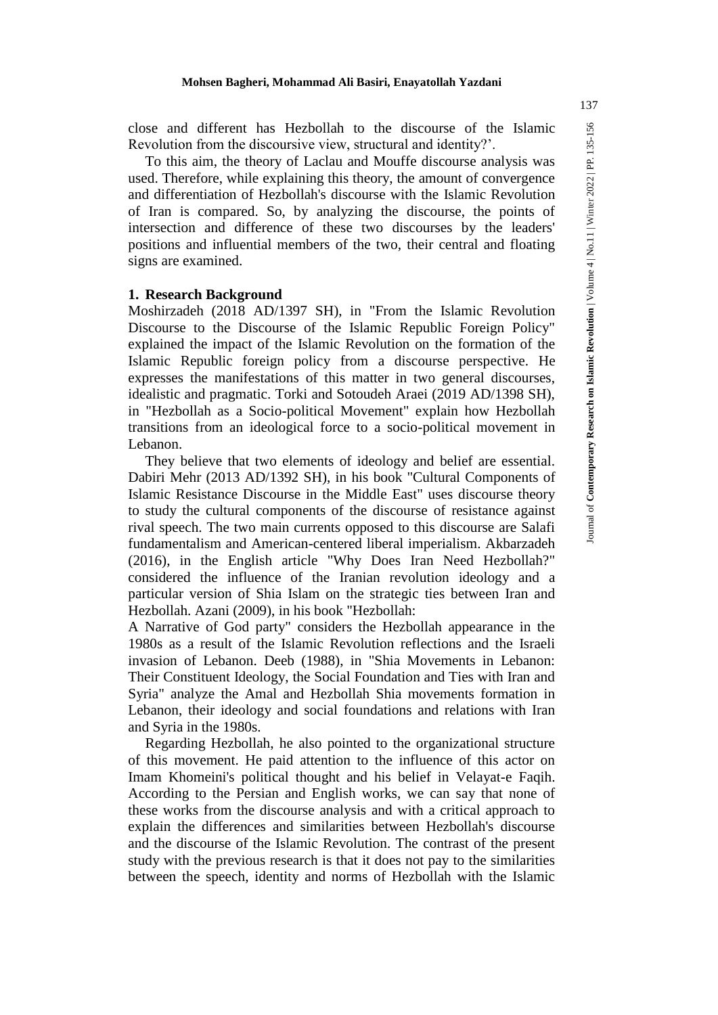Journal of **Contemporary Research on Islamic Revolution** | Volume 4 | No.11 | Winter 2022 | PP. 135-156

oumal of Contemporary Research on Islamic Revolution | Volume 4 | No.11 | Winter 2022 | PP. 135-156

close and different has Hezbollah to the discourse of the Islamic Revolution from the discoursive view, structural and identity?'.

To this aim, the theory of Laclau and Mouffe discourse analysis was used. Therefore, while explaining this theory, the amount of convergence and differentiation of Hezbollah's discourse with the Islamic Revolution of Iran is compared. So, by analyzing the discourse, the points of intersection and difference of these two discourses by the leaders' positions and influential members of the two, their central and floating signs are examined.

### **1. Research Background**

Moshirzadeh (2018 AD/1397 SH), in "From the Islamic Revolution Discourse to the Discourse of the Islamic Republic Foreign Policy" explained the impact of the Islamic Revolution on the formation of the Islamic Republic foreign policy from a discourse perspective. He expresses the manifestations of this matter in two general discourses, idealistic and pragmatic. Torki and Sotoudeh Araei (2019 AD/1398 SH), in "Hezbollah as a Socio-political Movement" explain how Hezbollah transitions from an ideological force to a socio-political movement in Lebanon.

They believe that two elements of ideology and belief are essential. Dabiri Mehr (2013 AD/1392 SH), in his book "Cultural Components of Islamic Resistance Discourse in the Middle East" uses discourse theory to study the cultural components of the discourse of resistance against rival speech. The two main currents opposed to this discourse are Salafi fundamentalism and American-centered liberal imperialism. Akbarzadeh (2016), in the English article "Why Does Iran Need Hezbollah?" considered the influence of the Iranian revolution ideology and a particular version of Shia Islam on the strategic ties between Iran and Hezbollah. Azani (2009), in his book "Hezbollah:

A Narrative of God party" considers the Hezbollah appearance in the 1980s as a result of the Islamic Revolution reflections and the Israeli invasion of Lebanon. Deeb (1988), in "Shia Movements in Lebanon: Their Constituent Ideology, the Social Foundation and Ties with Iran and Syria" analyze the Amal and Hezbollah Shia movements formation in Lebanon, their ideology and social foundations and relations with Iran and Syria in the 1980s.

Regarding Hezbollah, he also pointed to the organizational structure of this movement. He paid attention to the influence of this actor on Imam Khomeini's political thought and his belief in Velayat-e Faqih. According to the Persian and English works, we can say that none of these works from the discourse analysis and with a critical approach to explain the differences and similarities between Hezbollah's discourse and the discourse of the Islamic Revolution. The contrast of the present study with the previous research is that it does not pay to the similarities between the speech, identity and norms of Hezbollah with the Islamic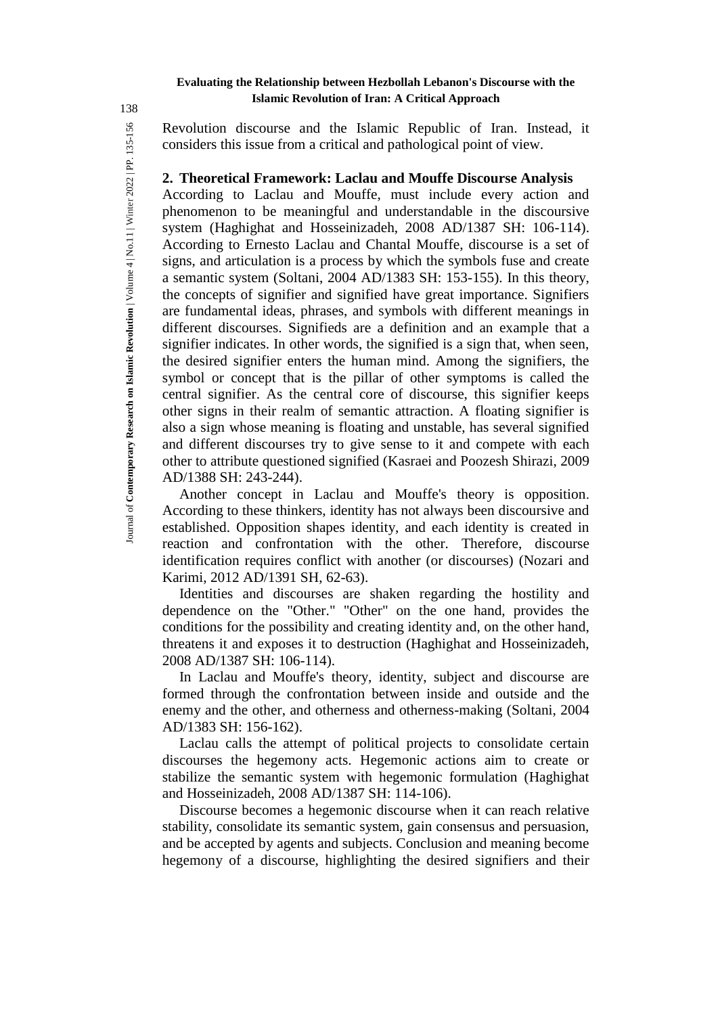Revolution discourse and the Islamic Republic of Iran. Instead, it considers this issue from a critical and pathological point of view.

# **2. Theoretical Framework: Laclau and Mouffe Discourse Analysis**

According to Laclau and Mouffe, must include every action and phenomenon to be meaningful and understandable in the discoursive system (Haghighat and Hosseinizadeh, 2008 AD/1387 SH: 106-114). According to Ernesto Laclau and Chantal Mouffe, discourse is a set of signs, and articulation is a process by which the symbols fuse and create a semantic system (Soltani, 2004 AD/1383 SH: 153-155). In this theory, the concepts of signifier and signified have great importance. Signifiers are fundamental ideas, phrases, and symbols with different meanings in different discourses. Signifieds are a definition and an example that a signifier indicates. In other words, the signified is a sign that, when seen, the desired signifier enters the human mind. Among the signifiers, the symbol or concept that is the pillar of other symptoms is called the central signifier. As the central core of discourse, this signifier keeps other signs in their realm of semantic attraction. A floating signifier is also a sign whose meaning is floating and unstable, has several signified and different discourses try to give sense to it and compete with each other to attribute questioned signified (Kasraei and Poozesh Shirazi, 2009 AD/1388 SH: 243-244).

Another concept in Laclau and Mouffe's theory is opposition. According to these thinkers, identity has not always been discoursive and established. Opposition shapes identity, and each identity is created in reaction and confrontation with the other. Therefore, discourse identification requires conflict with another (or discourses) (Nozari and Karimi, 2012 AD/1391 SH, 62-63).

Identities and discourses are shaken regarding the hostility and dependence on the "Other." "Other" on the one hand, provides the conditions for the possibility and creating identity and, on the other hand, threatens it and exposes it to destruction (Haghighat and Hosseinizadeh, 2008 AD/1387 SH: 106-114).

In Laclau and Mouffe's theory, identity, subject and discourse are formed through the confrontation between inside and outside and the enemy and the other, and otherness and otherness-making (Soltani, 2004 AD/1383 SH: 156-162).

Laclau calls the attempt of political projects to consolidate certain discourses the hegemony acts. Hegemonic actions aim to create or stabilize the semantic system with hegemonic formulation (Haghighat and Hosseinizadeh, 2008 AD/1387 SH: 114-106).

Discourse becomes a hegemonic discourse when it can reach relative stability, consolidate its semantic system, gain consensus and persuasion, and be accepted by agents and subjects. Conclusion and meaning become hegemony of a discourse, highlighting the desired signifiers and their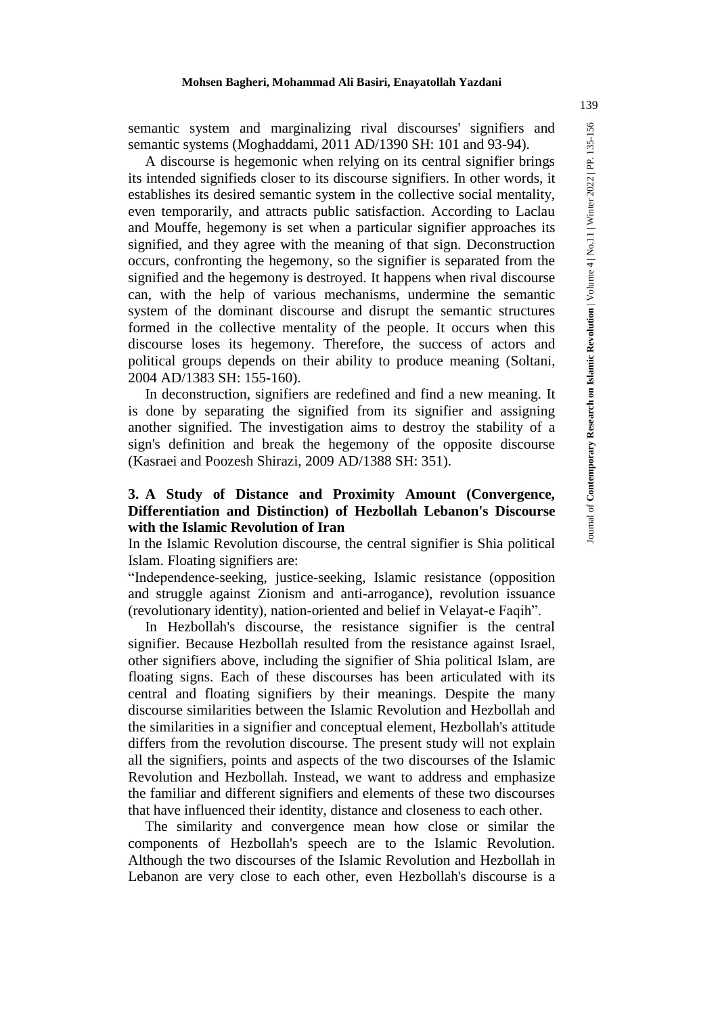semantic system and marginalizing rival discourses' signifiers and semantic systems (Moghaddami, 2011 AD/1390 SH: 101 and 93-94).

A discourse is hegemonic when relying on its central signifier brings its intended signifieds closer to its discourse signifiers. In other words, it establishes its desired semantic system in the collective social mentality, even temporarily, and attracts public satisfaction. According to Laclau and Mouffe, hegemony is set when a particular signifier approaches its signified, and they agree with the meaning of that sign. Deconstruction occurs, confronting the hegemony, so the signifier is separated from the signified and the hegemony is destroyed. It happens when rival discourse can, with the help of various mechanisms, undermine the semantic system of the dominant discourse and disrupt the semantic structures formed in the collective mentality of the people. It occurs when this discourse loses its hegemony. Therefore, the success of actors and political groups depends on their ability to produce meaning (Soltani, 2004 AD/1383 SH: 155-160).

In deconstruction, signifiers are redefined and find a new meaning. It is done by separating the signified from its signifier and assigning another signified. The investigation aims to destroy the stability of a sign's definition and break the hegemony of the opposite discourse (Kasraei and Poozesh Shirazi, 2009 AD/1388 SH: 351).

# **3. A Study of Distance and Proximity Amount (Convergence, Differentiation and Distinction) of Hezbollah Lebanon's Discourse with the Islamic Revolution of Iran**

In the Islamic Revolution discourse, the central signifier is Shia political Islam. Floating signifiers are:

"Independence-seeking, justice-seeking, Islamic resistance (opposition and struggle against Zionism and anti-arrogance), revolution issuance (revolutionary identity), nation-oriented and belief in Velayat-e Faqih".

In Hezbollah's discourse, the resistance signifier is the central signifier. Because Hezbollah resulted from the resistance against Israel, other signifiers above, including the signifier of Shia political Islam, are floating signs. Each of these discourses has been articulated with its central and floating signifiers by their meanings. Despite the many discourse similarities between the Islamic Revolution and Hezbollah and the similarities in a signifier and conceptual element, Hezbollah's attitude differs from the revolution discourse. The present study will not explain all the signifiers, points and aspects of the two discourses of the Islamic Revolution and Hezbollah. Instead, we want to address and emphasize the familiar and different signifiers and elements of these two discourses that have influenced their identity, distance and closeness to each other.

The similarity and convergence mean how close or similar the components of Hezbollah's speech are to the Islamic Revolution. Although the two discourses of the Islamic Revolution and Hezbollah in Lebanon are very close to each other, even Hezbollah's discourse is a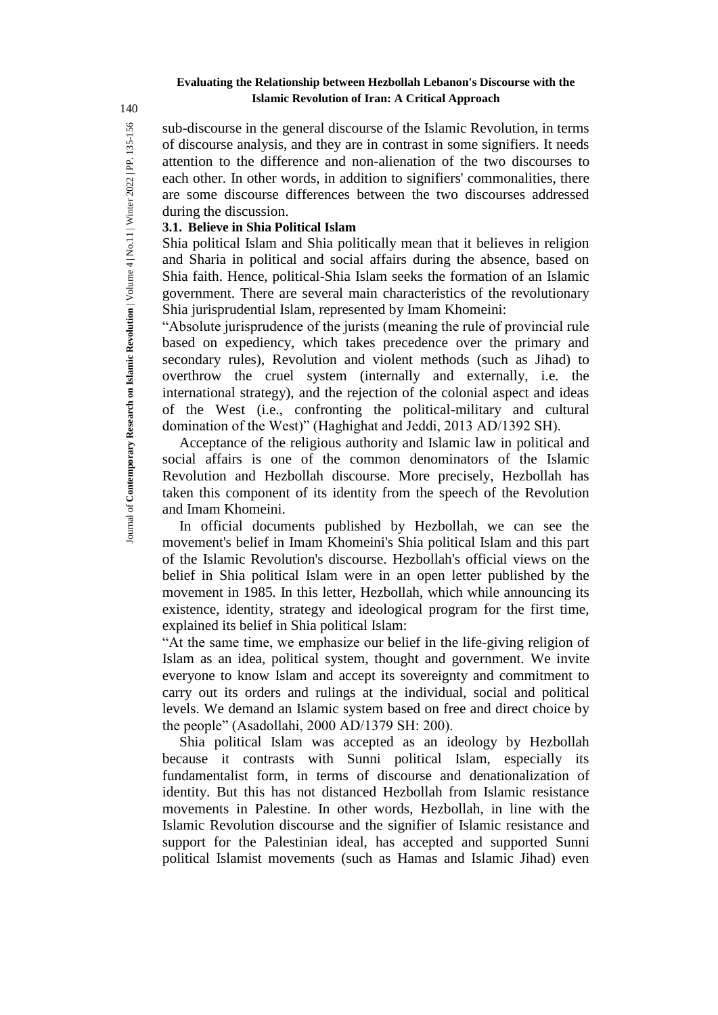sub-discourse in the general discourse of the Islamic Revolution, in terms of discourse analysis, and they are in contrast in some signifiers. It needs attention to the difference and non-alienation of the two discourses to each other. In other words, in addition to signifiers' commonalities, there are some discourse differences between the two discourses addressed during the discussion.

# **3.1. Believe in Shia Political Islam**

Shia political Islam and Shia politically mean that it believes in religion and Sharia in political and social affairs during the absence, based on Shia faith. Hence, political-Shia Islam seeks the formation of an Islamic government. There are several main characteristics of the revolutionary Shia jurisprudential Islam, represented by Imam Khomeini:

"Absolute jurisprudence of the jurists (meaning the rule of provincial rule based on expediency, which takes precedence over the primary and secondary rules), Revolution and violent methods (such as Jihad) to overthrow the cruel system (internally and externally, i.e. the international strategy), and the rejection of the colonial aspect and ideas of the West (i.e., confronting the political-military and cultural domination of the West)" (Haghighat and Jeddi, 2013 AD/1392 SH).

Acceptance of the religious authority and Islamic law in political and social affairs is one of the common denominators of the Islamic Revolution and Hezbollah discourse. More precisely, Hezbollah has taken this component of its identity from the speech of the Revolution and Imam Khomeini.

In official documents published by Hezbollah, we can see the movement's belief in Imam Khomeini's Shia political Islam and this part of the Islamic Revolution's discourse. Hezbollah's official views on the belief in Shia political Islam were in an open letter published by the movement in 1985. In this letter, Hezbollah, which while announcing its existence, identity, strategy and ideological program for the first time, explained its belief in Shia political Islam:

"At the same time, we emphasize our belief in the life-giving religion of Islam as an idea, political system, thought and government. We invite everyone to know Islam and accept its sovereignty and commitment to carry out its orders and rulings at the individual, social and political levels. We demand an Islamic system based on free and direct choice by the people" (Asadollahi, 2000 AD/1379 SH: 200).

Shia political Islam was accepted as an ideology by Hezbollah because it contrasts with Sunni political Islam, especially its fundamentalist form, in terms of discourse and denationalization of identity. But this has not distanced Hezbollah from Islamic resistance movements in Palestine. In other words, Hezbollah, in line with the Islamic Revolution discourse and the signifier of Islamic resistance and support for the Palestinian ideal, has accepted and supported Sunni political Islamist movements (such as Hamas and Islamic Jihad) even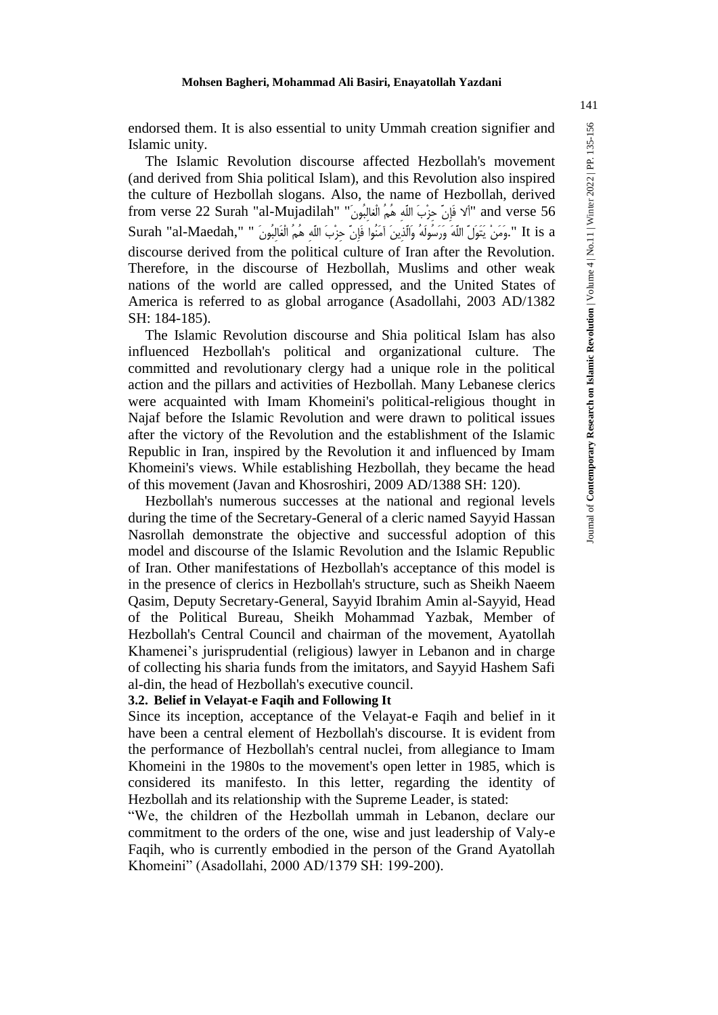The Islamic Revolution discourse affected Hezbollah's movement (and derived from Shia political Islam), and this Revolution also inspired the culture of Hezbollah slogans. Also, the name of Hezbollah, derived from verse 22 Surah "al-Mujadilah" أَلَا فَإِنَّ حَزْبَ اللَّهِ هُمُ الْغالِبُونَ" " surah "al-Mujadilah a It is a ".وَمَنْ يَتَوَلَّ اللَّهَ وَرَسُولَهُ وَالَّذِينَ آمَنُوا فَإِنَّ حِزْبَ اللَّهِ هُمُ الْغَالِبُونَ discourse derived from the political culture of Iran after the Revolution. Therefore, in the discourse of Hezbollah, Muslims and other weak nations of the world are called oppressed, and the United States of America is referred to as global arrogance (Asadollahi, 2003 AD/1382 SH: 184-185).

The Islamic Revolution discourse and Shia political Islam has also influenced Hezbollah's political and organizational culture. The committed and revolutionary clergy had a unique role in the political action and the pillars and activities of Hezbollah. Many Lebanese clerics were acquainted with Imam Khomeini's political-religious thought in Najaf before the Islamic Revolution and were drawn to political issues after the victory of the Revolution and the establishment of the Islamic Republic in Iran, inspired by the Revolution it and influenced by Imam Khomeini's views. While establishing Hezbollah, they became the head of this movement (Javan and Khosroshiri, 2009 AD/1388 SH: 120).

Hezbollah's numerous successes at the national and regional levels during the time of the Secretary-General of a cleric named Sayyid Hassan Nasrollah demonstrate the objective and successful adoption of this model and discourse of the Islamic Revolution and the Islamic Republic of Iran. Other manifestations of Hezbollah's acceptance of this model is in the presence of clerics in Hezbollah's structure, such as Sheikh Naeem Qasim, Deputy Secretary-General, Sayyid Ibrahim Amin al-Sayyid, Head of the Political Bureau, Sheikh Mohammad Yazbak, Member of Hezbollah's Central Council and chairman of the movement, Ayatollah Khamenei's jurisprudential (religious) lawyer in Lebanon and in charge of collecting his sharia funds from the imitators, and Sayyid Hashem Safi al-din, the head of Hezbollah's executive council.

### **3.2. Belief in Velayat-e Faqih and Following It**

Since its inception, acceptance of the Velayat-e Faqih and belief in it have been a central element of Hezbollah's discourse. It is evident from the performance of Hezbollah's central nuclei, from allegiance to Imam Khomeini in the 1980s to the movement's open letter in 1985, which is considered its manifesto. In this letter, regarding the identity of Hezbollah and its relationship with the Supreme Leader, is stated:

"We, the children of the Hezbollah ummah in Lebanon, declare our commitment to the orders of the one, wise and just leadership of Valy-e Faqih, who is currently embodied in the person of the Grand Ayatollah Khomeini" (Asadollahi, 2000 AD/1379 SH: 199-200).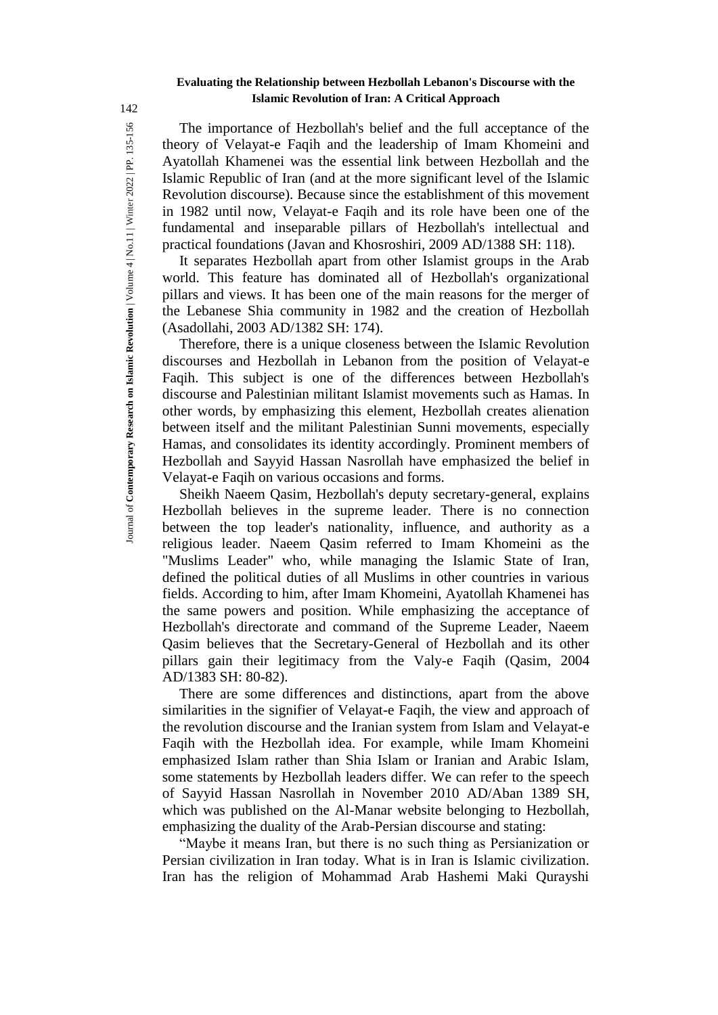The importance of Hezbollah's belief and the full acceptance of the theory of Velayat-e Faqih and the leadership of Imam Khomeini and Ayatollah Khamenei was the essential link between Hezbollah and the Islamic Republic of Iran (and at the more significant level of the Islamic Revolution discourse). Because since the establishment of this movement in 1982 until now, Velayat-e Faqih and its role have been one of the fundamental and inseparable pillars of Hezbollah's intellectual and practical foundations (Javan and Khosroshiri, 2009 AD/1388 SH: 118).

It separates Hezbollah apart from other Islamist groups in the Arab world. This feature has dominated all of Hezbollah's organizational pillars and views. It has been one of the main reasons for the merger of the Lebanese Shia community in 1982 and the creation of Hezbollah (Asadollahi, 2003 AD/1382 SH: 174).

Therefore, there is a unique closeness between the Islamic Revolution discourses and Hezbollah in Lebanon from the position of Velayat-e Faqih. This subject is one of the differences between Hezbollah's discourse and Palestinian militant Islamist movements such as Hamas. In other words, by emphasizing this element, Hezbollah creates alienation between itself and the militant Palestinian Sunni movements, especially Hamas, and consolidates its identity accordingly. Prominent members of Hezbollah and Sayyid Hassan Nasrollah have emphasized the belief in Velayat-e Faqih on various occasions and forms.

Sheikh Naeem Qasim, Hezbollah's deputy secretary-general, explains Hezbollah believes in the supreme leader. There is no connection between the top leader's nationality, influence, and authority as a religious leader. Naeem Qasim referred to Imam Khomeini as the "Muslims Leader" who, while managing the Islamic State of Iran, defined the political duties of all Muslims in other countries in various fields. According to him, after Imam Khomeini, Ayatollah Khamenei has the same powers and position. While emphasizing the acceptance of Hezbollah's directorate and command of the Supreme Leader, Naeem Qasim believes that the Secretary-General of Hezbollah and its other pillars gain their legitimacy from the Valy-e Faqih (Qasim, 2004 AD/1383 SH: 80-82).

There are some differences and distinctions, apart from the above similarities in the signifier of Velayat-e Faqih, the view and approach of the revolution discourse and the Iranian system from Islam and Velayat-e Faqih with the Hezbollah idea. For example, while Imam Khomeini emphasized Islam rather than Shia Islam or Iranian and Arabic Islam, some statements by Hezbollah leaders differ. We can refer to the speech of Sayyid Hassan Nasrollah in November 2010 AD/Aban 1389 SH, which was published on the Al-Manar website belonging to Hezbollah, emphasizing the duality of the Arab-Persian discourse and stating:

"Maybe it means Iran, but there is no such thing as Persianization or Persian civilization in Iran today. What is in Iran is Islamic civilization. Iran has the religion of Mohammad Arab Hashemi Maki Qurayshi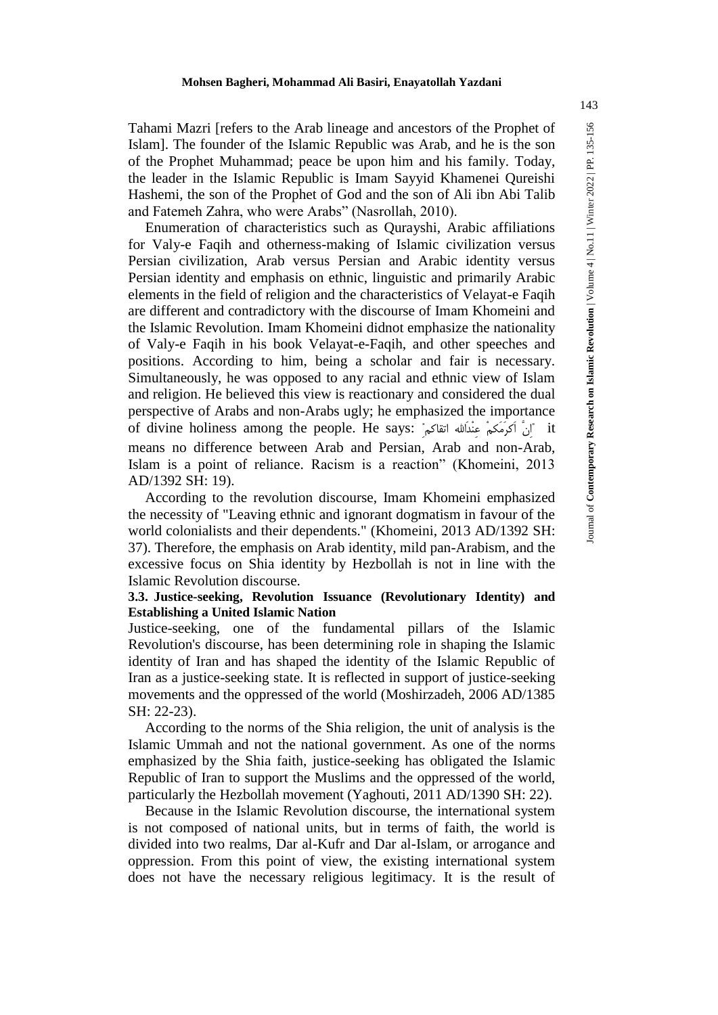Tahami Mazri [refers to the Arab lineage and ancestors of the Prophet of Islam]. The founder of the Islamic Republic was Arab, and he is the son of the Prophet Muhammad; peace be upon him and his family. Today, the leader in the Islamic Republic is Imam Sayyid Khamenei Qureishi Hashemi, the son of the Prophet of God and the son of Ali ibn Abi Talib and Fatemeh Zahra, who were Arabs" (Nasrollah, 2010).

Enumeration of characteristics such as Qurayshi, Arabic affiliations for Valy-e Faqih and otherness-making of Islamic civilization versus Persian civilization, Arab versus Persian and Arabic identity versus Persian identity and emphasis on ethnic, linguistic and primarily Arabic elements in the field of religion and the characteristics of Velayat-e Faqih are different and contradictory with the discourse of Imam Khomeini and the Islamic Revolution. Imam Khomeini didnot emphasize the nationality of Valy-e Faqih in his book Velayat-e-Faqih, and other speeches and positions. According to him, being a scholar and fair is necessary. Simultaneously, he was opposed to any racial and ethnic view of Islam and religion. He believed this view is reactionary and considered the dual perspective of Arabs and non-Arabs ugly; he emphasized the importance of divine holiness among the people. He says: "اَنَّ اَکْرَمَکِمْ عِنْدَالله اتقاکم" means no difference between Arab and Persian, Arab and non-Arab, Islam is a point of reliance. Racism is a reaction" (Khomeini, 2013 AD/1392 SH: 19).

According to the revolution discourse, Imam Khomeini emphasized the necessity of "Leaving ethnic and ignorant dogmatism in favour of the world colonialists and their dependents." (Khomeini, 2013 AD/1392 SH: 37). Therefore, the emphasis on Arab identity, mild pan-Arabism, and the excessive focus on Shia identity by Hezbollah is not in line with the Islamic Revolution discourse.

# **3.3. Justice-seeking, Revolution Issuance (Revolutionary Identity) and Establishing a United Islamic Nation**

Justice-seeking, one of the fundamental pillars of the Islamic Revolution's discourse, has been determining role in shaping the Islamic identity of Iran and has shaped the identity of the Islamic Republic of Iran as a justice-seeking state. It is reflected in support of justice-seeking movements and the oppressed of the world (Moshirzadeh, 2006 AD/1385 SH: 22-23).

According to the norms of the Shia religion, the unit of analysis is the Islamic Ummah and not the national government. As one of the norms emphasized by the Shia faith, justice-seeking has obligated the Islamic Republic of Iran to support the Muslims and the oppressed of the world, particularly the Hezbollah movement (Yaghouti, 2011 AD/1390 SH: 22).

Because in the Islamic Revolution discourse, the international system is not composed of national units, but in terms of faith, the world is divided into two realms, Dar al-Kufr and Dar al-Islam, or arrogance and oppression. From this point of view, the existing international system does not have the necessary religious legitimacy. It is the result of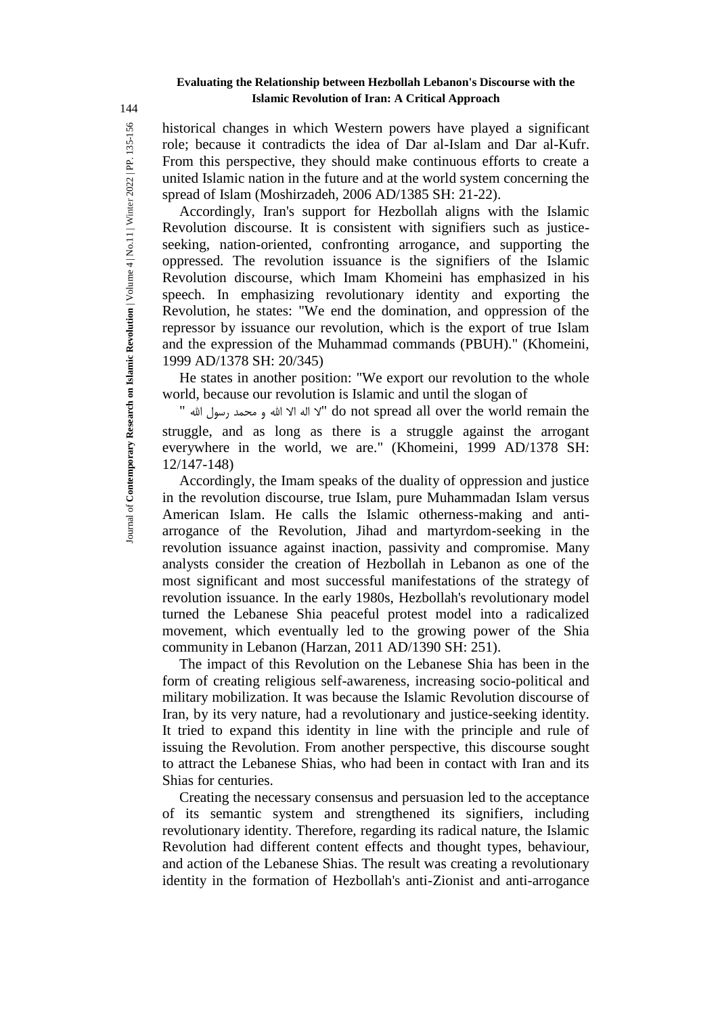historical changes in which Western powers have played a significant role; because it contradicts the idea of Dar al-Islam and Dar al-Kufr. From this perspective, they should make continuous efforts to create a united Islamic nation in the future and at the world system concerning the spread of Islam (Moshirzadeh, 2006 AD/1385 SH: 21-22).

Accordingly, Iran's support for Hezbollah aligns with the Islamic Revolution discourse. It is consistent with signifiers such as justiceseeking, nation-oriented, confronting arrogance, and supporting the oppressed. The revolution issuance is the signifiers of the Islamic Revolution discourse, which Imam Khomeini has emphasized in his speech. In emphasizing revolutionary identity and exporting the Revolution, he states: "We end the domination, and oppression of the repressor by issuance our revolution, which is the export of true Islam and the expression of the Muhammad commands (PBUH)." (Khomeini, 1999 AD/1378 SH: 20/345)

He states in another position: "We export our revolution to the whole world, because our revolution is Islamic and until the slogan of

" اهلل رسول محمد و اهلل اال اله ال "do not spread all over the world remain the struggle, and as long as there is a struggle against the arrogant everywhere in the world, we are." (Khomeini, 1999 AD/1378 SH: 12/147-148)

Accordingly, the Imam speaks of the duality of oppression and justice in the revolution discourse, true Islam, pure Muhammadan Islam versus American Islam. He calls the Islamic otherness-making and antiarrogance of the Revolution, Jihad and martyrdom-seeking in the revolution issuance against inaction, passivity and compromise. Many analysts consider the creation of Hezbollah in Lebanon as one of the most significant and most successful manifestations of the strategy of revolution issuance. In the early 1980s, Hezbollah's revolutionary model turned the Lebanese Shia peaceful protest model into a radicalized movement, which eventually led to the growing power of the Shia community in Lebanon (Harzan, 2011 AD/1390 SH: 251).

The impact of this Revolution on the Lebanese Shia has been in the form of creating religious self-awareness, increasing socio-political and military mobilization. It was because the Islamic Revolution discourse of Iran, by its very nature, had a revolutionary and justice-seeking identity. It tried to expand this identity in line with the principle and rule of issuing the Revolution. From another perspective, this discourse sought to attract the Lebanese Shias, who had been in contact with Iran and its Shias for centuries.

Creating the necessary consensus and persuasion led to the acceptance of its semantic system and strengthened its signifiers, including revolutionary identity. Therefore, regarding its radical nature, the Islamic Revolution had different content effects and thought types, behaviour, and action of the Lebanese Shias. The result was creating a revolutionary identity in the formation of Hezbollah's anti-Zionist and anti-arrogance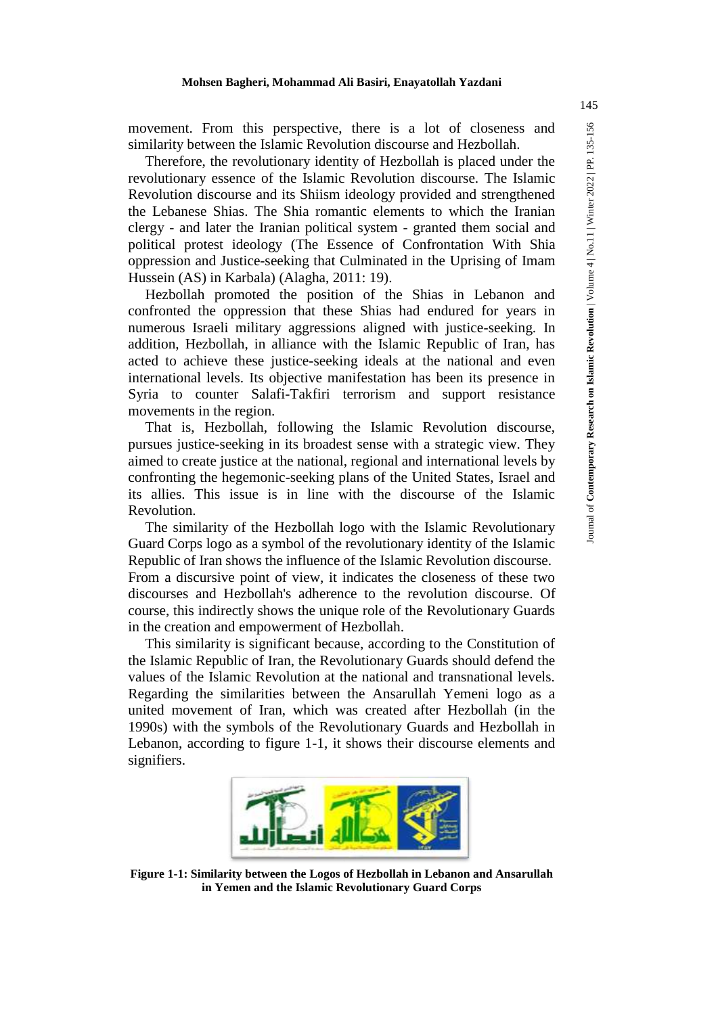movement. From this perspective, there is a lot of closeness and  $\frac{16}{12}$ similarity between the Islamic Revolution discourse and Hezbollah.

Therefore, the revolutionary identity of Hezbollah is placed under the revolutionary essence of the Islamic Revolution discourse. The Islamic Revolution discourse and its Shiism ideology provided and strengthened the Lebanese Shias. The Shia romantic elements to which the Iranian clergy - and later the Iranian political system - granted them social and political protest ideology (The Essence of Confrontation With Shia oppression and Justice-seeking that Culminated in the Uprising of Imam Hussein (AS) in Karbala) (Alagha, 2011: 19).

Hezbollah promoted the position of the Shias in Lebanon and confronted the oppression that these Shias had endured for years in numerous Israeli military aggressions aligned with justice-seeking. In addition, Hezbollah, in alliance with the Islamic Republic of Iran, has acted to achieve these justice-seeking ideals at the national and even international levels. Its objective manifestation has been its presence in Syria to counter Salafi-Takfiri terrorism and support resistance movements in the region.

That is, Hezbollah, following the Islamic Revolution discourse, pursues justice-seeking in its broadest sense with a strategic view. They aimed to create justice at the national, regional and international levels by confronting the hegemonic-seeking plans of the United States, Israel and its allies. This issue is in line with the discourse of the Islamic Revolution.

The similarity of the Hezbollah logo with the Islamic Revolutionary Guard Corps logo as a symbol of the revolutionary identity of the Islamic Republic of Iran shows the influence of the Islamic Revolution discourse. From a discursive point of view, it indicates the closeness of these two discourses and Hezbollah's adherence to the revolution discourse. Of course, this indirectly shows the unique role of the Revolutionary Guards in the creation and empowerment of Hezbollah.

This similarity is significant because, according to the Constitution of the Islamic Republic of Iran, the Revolutionary Guards should defend the values of the Islamic Revolution at the national and transnational levels. Regarding the similarities between the Ansarullah Yemeni logo as a united movement of Iran, which was created after Hezbollah (in the 1990s) with the symbols of the Revolutionary Guards and Hezbollah in Lebanon, according to figure 1-1, it shows their discourse elements and signifiers.



**Figure 1-1: Similarity between the Logos of Hezbollah in Lebanon and Ansarullah in Yemen and the Islamic Revolutionary Guard Corps**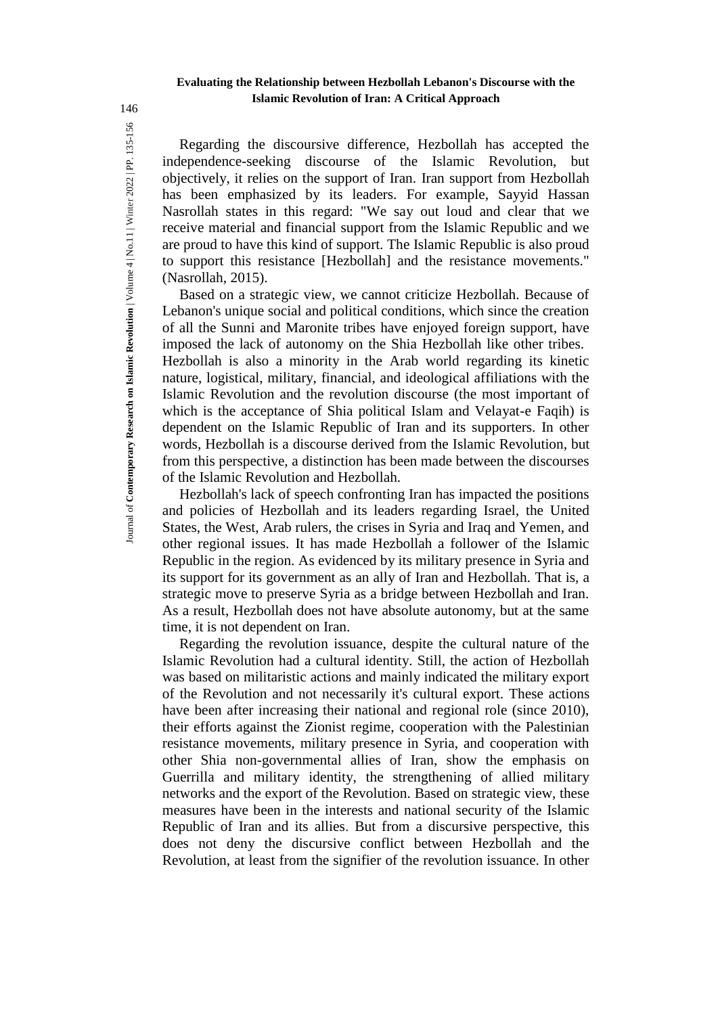Regarding the discoursive difference, Hezbollah has accepted the independence-seeking discourse of the Islamic Revolution, but objectively, it relies on the support of Iran. Iran support from Hezbollah has been emphasized by its leaders. For example, Sayyid Hassan Nasrollah states in this regard: "We say out loud and clear that we receive material and financial support from the Islamic Republic and we are proud to have this kind of support. The Islamic Republic is also proud to support this resistance [Hezbollah] and the resistance movements." (Nasrollah, 2015).

Based on a strategic view, we cannot criticize Hezbollah. Because of Lebanon's unique social and political conditions, which since the creation of all the Sunni and Maronite tribes have enjoyed foreign support, have imposed the lack of autonomy on the Shia Hezbollah like other tribes. Hezbollah is also a minority in the Arab world regarding its kinetic nature, logistical, military, financial, and ideological affiliations with the Islamic Revolution and the revolution discourse (the most important of which is the acceptance of Shia political Islam and Velayat-e Faqih) is dependent on the Islamic Republic of Iran and its supporters. In other words, Hezbollah is a discourse derived from the Islamic Revolution, but from this perspective, a distinction has been made between the discourses of the Islamic Revolution and Hezbollah.

Hezbollah's lack of speech confronting Iran has impacted the positions and policies of Hezbollah and its leaders regarding Israel, the United States, the West, Arab rulers, the crises in Syria and Iraq and Yemen, and other regional issues. It has made Hezbollah a follower of the Islamic Republic in the region. As evidenced by its military presence in Syria and its support for its government as an ally of Iran and Hezbollah. That is, a strategic move to preserve Syria as a bridge between Hezbollah and Iran. As a result, Hezbollah does not have absolute autonomy, but at the same time, it is not dependent on Iran.

Regarding the revolution issuance, despite the cultural nature of the Islamic Revolution had a cultural identity. Still, the action of Hezbollah was based on militaristic actions and mainly indicated the military export of the Revolution and not necessarily it's cultural export. These actions have been after increasing their national and regional role (since 2010), their efforts against the Zionist regime, cooperation with the Palestinian resistance movements, military presence in Syria, and cooperation with other Shia non-governmental allies of Iran, show the emphasis on Guerrilla and military identity, the strengthening of allied military networks and the export of the Revolution. Based on strategic view, these measures have been in the interests and national security of the Islamic Republic of Iran and its allies. But from a discursive perspective, this does not deny the discursive conflict between Hezbollah and the Revolution, at least from the signifier of the revolution issuance. In other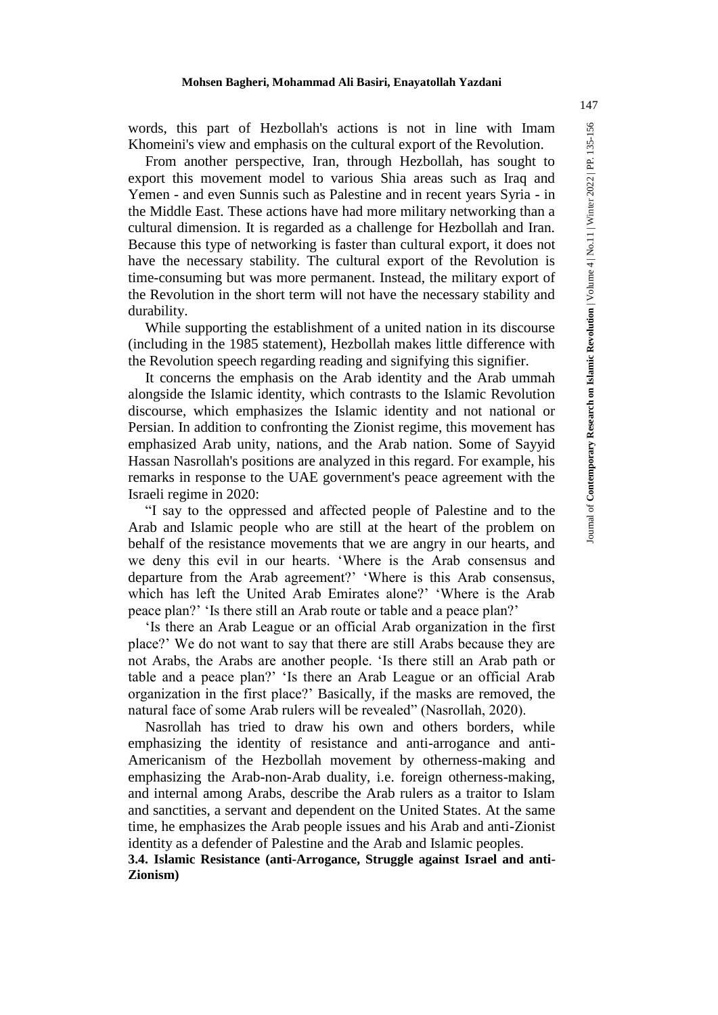From another perspective, Iran, through Hezbollah, has sought to export this movement model to various Shia areas such as Iraq and Yemen - and even Sunnis such as Palestine and in recent years Syria - in the Middle East. These actions have had more military networking than a cultural dimension. It is regarded as a challenge for Hezbollah and Iran. Because this type of networking is faster than cultural export, it does not have the necessary stability. The cultural export of the Revolution is time-consuming but was more permanent. Instead, the military export of the Revolution in the short term will not have the necessary stability and durability.

While supporting the establishment of a united nation in its discourse (including in the 1985 statement), Hezbollah makes little difference with the Revolution speech regarding reading and signifying this signifier.

It concerns the emphasis on the Arab identity and the Arab ummah alongside the Islamic identity, which contrasts to the Islamic Revolution discourse, which emphasizes the Islamic identity and not national or Persian. In addition to confronting the Zionist regime, this movement has emphasized Arab unity, nations, and the Arab nation. Some of Sayyid Hassan Nasrollah's positions are analyzed in this regard. For example, his remarks in response to the UAE government's peace agreement with the Israeli regime in 2020:

"I say to the oppressed and affected people of Palestine and to the Arab and Islamic people who are still at the heart of the problem on behalf of the resistance movements that we are angry in our hearts, and we deny this evil in our hearts. 'Where is the Arab consensus and departure from the Arab agreement?' 'Where is this Arab consensus, which has left the United Arab Emirates alone?' 'Where is the Arab peace plan?' 'Is there still an Arab route or table and a peace plan?'

'Is there an Arab League or an official Arab organization in the first place?' We do not want to say that there are still Arabs because they are not Arabs, the Arabs are another people. 'Is there still an Arab path or table and a peace plan?' 'Is there an Arab League or an official Arab organization in the first place?' Basically, if the masks are removed, the natural face of some Arab rulers will be revealed" (Nasrollah, 2020).

Nasrollah has tried to draw his own and others borders, while emphasizing the identity of resistance and anti-arrogance and anti-Americanism of the Hezbollah movement by otherness-making and emphasizing the Arab-non-Arab duality, i.e. foreign otherness-making, and internal among Arabs, describe the Arab rulers as a traitor to Islam and sanctities, a servant and dependent on the United States. At the same time, he emphasizes the Arab people issues and his Arab and anti-Zionist identity as a defender of Palestine and the Arab and Islamic peoples.

**3.4. Islamic Resistance (anti-Arrogance, Struggle against Israel and anti-Zionism)**

147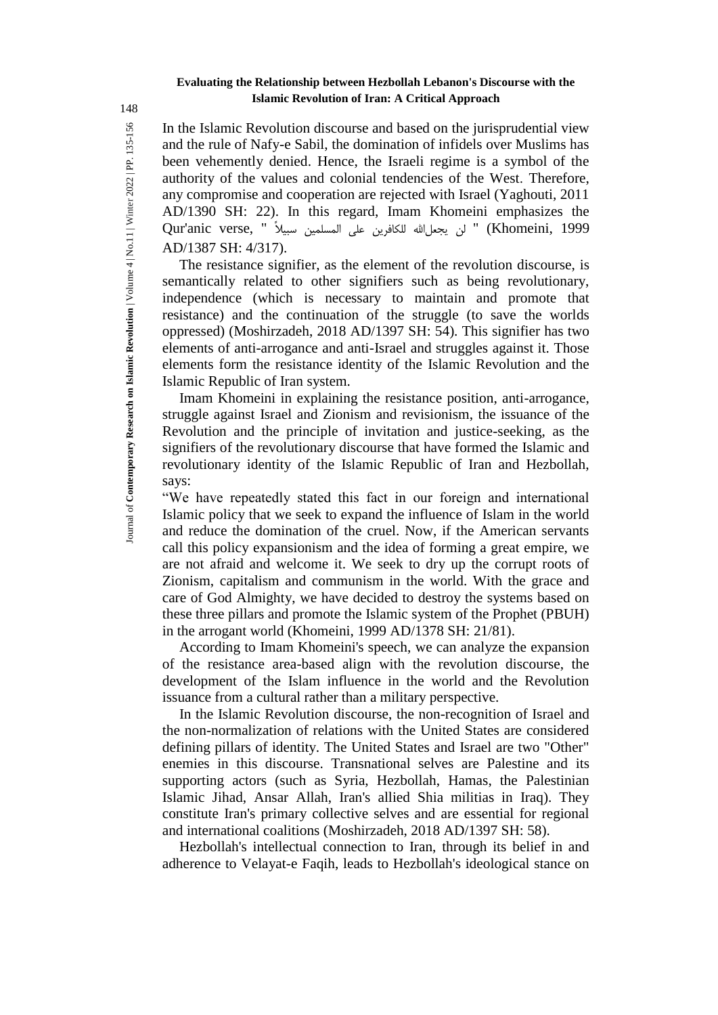In the Islamic Revolution discourse and based on the jurisprudential view and the rule of Nafy-e Sabil, the domination of infidels over Muslims has been vehemently denied. Hence, the Israeli regime is a symbol of the authority of the values and colonial tendencies of the West. Therefore, any compromise and cooperation are rejected with Israel (Yaghouti, 2011 AD/1390 SH: 22). In this regard, Imam Khomeini emphasizes the 1999 ,Khomeini, 1999 " لن يجعل الله للكافرين على المسلمين سبيلاً " Qur'anic verse, AD/1387 SH: 4/317).

The resistance signifier, as the element of the revolution discourse, is semantically related to other signifiers such as being revolutionary, independence (which is necessary to maintain and promote that resistance) and the continuation of the struggle (to save the worlds oppressed) (Moshirzadeh, 2018 AD/1397 SH: 54). This signifier has two elements of anti-arrogance and anti-Israel and struggles against it. Those elements form the resistance identity of the Islamic Revolution and the Islamic Republic of Iran system.

Imam Khomeini in explaining the resistance position, anti-arrogance, struggle against Israel and Zionism and revisionism, the issuance of the Revolution and the principle of invitation and justice-seeking, as the signifiers of the revolutionary discourse that have formed the Islamic and revolutionary identity of the Islamic Republic of Iran and Hezbollah, says:

"We have repeatedly stated this fact in our foreign and international Islamic policy that we seek to expand the influence of Islam in the world and reduce the domination of the cruel. Now, if the American servants call this policy expansionism and the idea of forming a great empire, we are not afraid and welcome it. We seek to dry up the corrupt roots of Zionism, capitalism and communism in the world. With the grace and care of God Almighty, we have decided to destroy the systems based on these three pillars and promote the Islamic system of the Prophet (PBUH) in the arrogant world (Khomeini, 1999 AD/1378 SH: 21/81).

According to Imam Khomeini's speech, we can analyze the expansion of the resistance area-based align with the revolution discourse, the development of the Islam influence in the world and the Revolution issuance from a cultural rather than a military perspective.

In the Islamic Revolution discourse, the non-recognition of Israel and the non-normalization of relations with the United States are considered defining pillars of identity. The United States and Israel are two "Other" enemies in this discourse. Transnational selves are Palestine and its supporting actors (such as Syria, Hezbollah, Hamas, the Palestinian Islamic Jihad, Ansar Allah, Iran's allied Shia militias in Iraq). They constitute Iran's primary collective selves and are essential for regional and international coalitions (Moshirzadeh, 2018 AD/1397 SH: 58).

Hezbollah's intellectual connection to Iran, through its belief in and adherence to Velayat-e Faqih, leads to Hezbollah's ideological stance on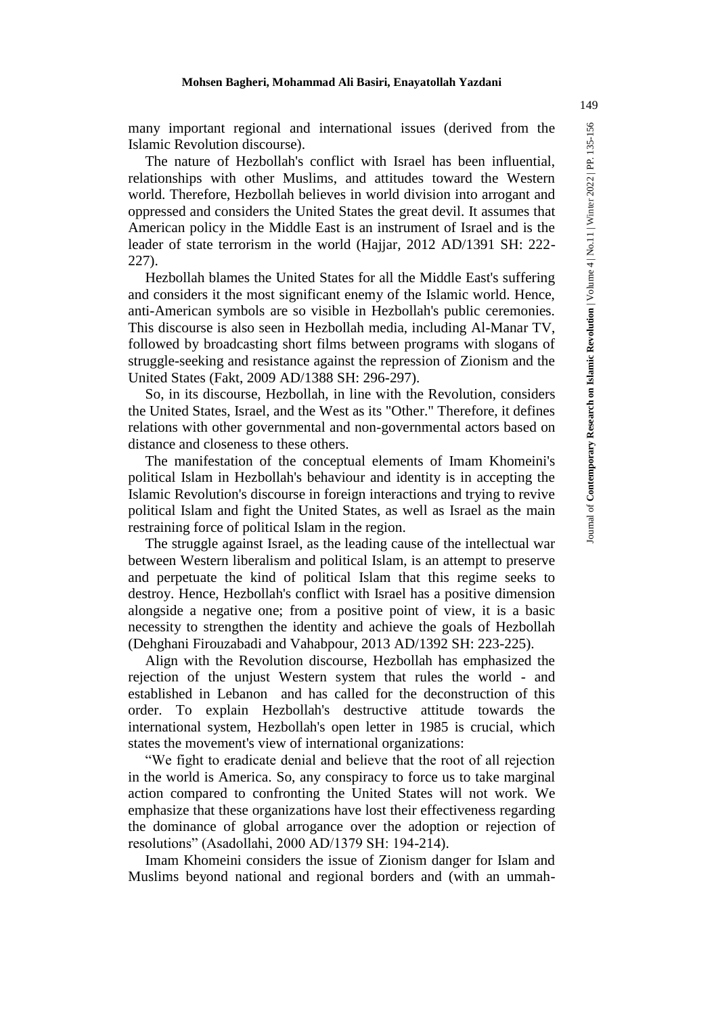Islamic Revolution discourse).

many important regional and international issues (derived from the same Revolution discourse).<br>
The nature of Hezbollah's conflict with Israel has been influential,<br>
relationships with other Muslims, and attitudes toward The nature of Hezbollah's conflict with Israel has been influential, relationships with other Muslims, and attitudes toward the Western world. Therefore, Hezbollah believes in world division into arrogant and oppressed and considers the United States the great devil. It assumes that American policy in the Middle East is an instrument of Israel and is the leader of state terrorism in the world (Hajjar, 2012 AD/1391 SH: 222- 227).

Hezbollah blames the United States for all the Middle East's suffering and considers it the most significant enemy of the Islamic world. Hence, anti-American symbols are so visible in Hezbollah's public ceremonies. This discourse is also seen in Hezbollah media, including Al-Manar TV, followed by broadcasting short films between programs with slogans of struggle-seeking and resistance against the repression of Zionism and the United States (Fakt, 2009 AD/1388 SH: 296-297).

So, in its discourse, Hezbollah, in line with the Revolution, considers the United States, Israel, and the West as its "Other." Therefore, it defines relations with other governmental and non-governmental actors based on distance and closeness to these others.

The manifestation of the conceptual elements of Imam Khomeini's political Islam in Hezbollah's behaviour and identity is in accepting the Islamic Revolution's discourse in foreign interactions and trying to revive political Islam and fight the United States, as well as Israel as the main restraining force of political Islam in the region.

The struggle against Israel, as the leading cause of the intellectual war between Western liberalism and political Islam, is an attempt to preserve and perpetuate the kind of political Islam that this regime seeks to destroy. Hence, Hezbollah's conflict with Israel has a positive dimension alongside a negative one; from a positive point of view, it is a basic necessity to strengthen the identity and achieve the goals of Hezbollah (Dehghani Firouzabadi and Vahabpour, 2013 AD/1392 SH: 223-225).

Align with the Revolution discourse, Hezbollah has emphasized the rejection of the unjust Western system that rules the world - and established in Lebanon and has called for the deconstruction of this order. To explain Hezbollah's destructive attitude towards the international system, Hezbollah's open letter in 1985 is crucial, which states the movement's view of international organizations:

"We fight to eradicate denial and believe that the root of all rejection in the world is America. So, any conspiracy to force us to take marginal action compared to confronting the United States will not work. We emphasize that these organizations have lost their effectiveness regarding the dominance of global arrogance over the adoption or rejection of resolutions" (Asadollahi, 2000 AD/1379 SH: 194-214).

Imam Khomeini considers the issue of Zionism danger for Islam and Muslims beyond national and regional borders and (with an ummah-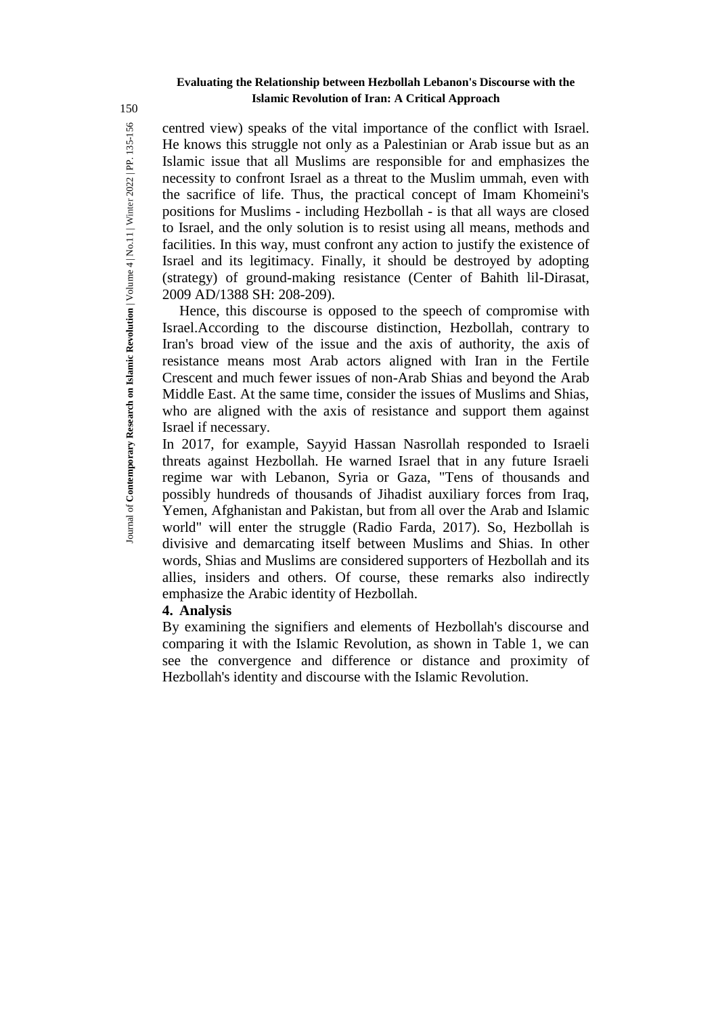centred view) speaks of the vital importance of the conflict with Israel. He knows this struggle not only as a Palestinian or Arab issue but as an Islamic issue that all Muslims are responsible for and emphasizes the necessity to confront Israel as a threat to the Muslim ummah, even with the sacrifice of life. Thus, the practical concept of Imam Khomeini's positions for Muslims - including Hezbollah - is that all ways are closed to Israel, and the only solution is to resist using all means, methods and facilities. In this way, must confront any action to justify the existence of Israel and its legitimacy. Finally, it should be destroyed by adopting (strategy) of ground-making resistance (Center of Bahith lil-Dirasat, 2009 AD/1388 SH: 208-209).

Hence, this discourse is opposed to the speech of compromise with Israel.According to the discourse distinction, Hezbollah, contrary to Iran's broad view of the issue and the axis of authority, the axis of resistance means most Arab actors aligned with Iran in the Fertile Crescent and much fewer issues of non-Arab Shias and beyond the Arab Middle East. At the same time, consider the issues of Muslims and Shias, who are aligned with the axis of resistance and support them against Israel if necessary.

In 2017, for example, Sayyid Hassan Nasrollah responded to Israeli threats against Hezbollah. He warned Israel that in any future Israeli regime war with Lebanon, Syria or Gaza, "Tens of thousands and possibly hundreds of thousands of Jihadist auxiliary forces from Iraq, Yemen, Afghanistan and Pakistan, but from all over the Arab and Islamic world" will enter the struggle (Radio Farda, 2017). So, Hezbollah is divisive and demarcating itself between Muslims and Shias. In other words, Shias and Muslims are considered supporters of Hezbollah and its allies, insiders and others. Of course, these remarks also indirectly emphasize the Arabic identity of Hezbollah.

# **4. Analysis**

By examining the signifiers and elements of Hezbollah's discourse and comparing it with the Islamic Revolution, as shown in Table 1, we can see the convergence and difference or distance and proximity of Hezbollah's identity and discourse with the Islamic Revolution.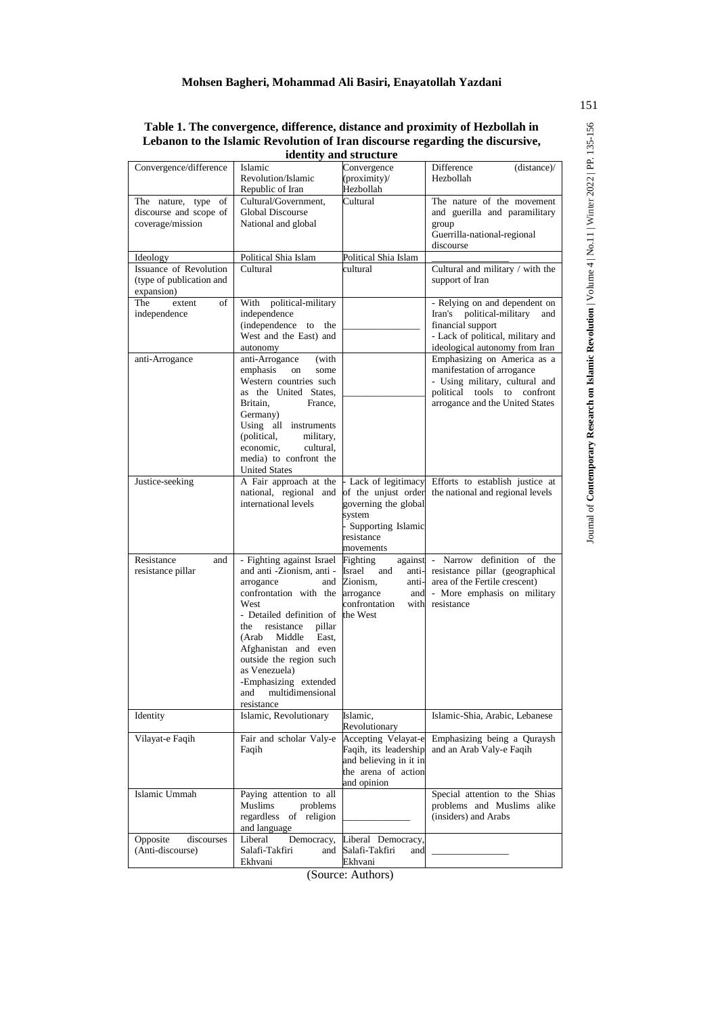**Lebanon to the Islamic Revolution of Iran discourse regarding the discursive, identity and structure**

|                                                                   |                                                                                                                                                                                                                                                                                                                                             |                                                                                                              | Table 1. The convergence, difference, distance and proximity of Hezbollah in<br>Lebanon to the Islamic Revolution of Iran discourse regarding the discursive, |
|-------------------------------------------------------------------|---------------------------------------------------------------------------------------------------------------------------------------------------------------------------------------------------------------------------------------------------------------------------------------------------------------------------------------------|--------------------------------------------------------------------------------------------------------------|---------------------------------------------------------------------------------------------------------------------------------------------------------------|
|                                                                   |                                                                                                                                                                                                                                                                                                                                             | identity and structure                                                                                       |                                                                                                                                                               |
| Convergence/difference                                            | Islamic<br>Revolution/Islamic<br>Republic of Iran                                                                                                                                                                                                                                                                                           | Convergence<br>(proximity)<br>Hezbollah                                                                      | Difference<br>(distance)/<br>Hezbollah                                                                                                                        |
| The nature, type of<br>discourse and scope of<br>coverage/mission | Cultural/Government,<br>Global Discourse<br>National and global                                                                                                                                                                                                                                                                             | Cultural                                                                                                     | The nature of the movement<br>and guerilla and paramilitary<br>group<br>Guerrilla-national-regional<br>discourse                                              |
| Ideology                                                          | Political Shia Islam                                                                                                                                                                                                                                                                                                                        | Political Shia Islam                                                                                         |                                                                                                                                                               |
| Issuance of Revolution<br>(type of publication and<br>expansion)  | Cultural                                                                                                                                                                                                                                                                                                                                    | cultural                                                                                                     | Cultural and military / with the<br>support of Iran                                                                                                           |
| The<br>of<br>extent<br>independence                               | With political-military<br>independence<br>(independence to<br>the<br>West and the East) and<br>autonomy                                                                                                                                                                                                                                    |                                                                                                              | - Relying on and dependent on<br>Iran's political-military<br>and<br>financial support<br>- Lack of political, military and<br>ideological autonomy from Iran |
| anti-Arrogance                                                    | anti-Arrogance<br>(with<br>emphasis<br>on<br>some<br>Western countries such<br>as the United States,<br>Britain,<br>France,<br>Germany)<br>Using all instruments<br>(political,<br>military,<br>economic,<br>cultural,<br>media) to confront the<br><b>United States</b>                                                                    |                                                                                                              | Emphasizing on America as a<br>manifestation of arrogance<br>- Using military, cultural and<br>political tools to confront<br>arrogance and the United States |
| Justice-seeking                                                   | A Fair approach at the<br>national, regional and<br>international levels                                                                                                                                                                                                                                                                    | governing the global<br>system<br>Supporting Islamic<br>resistance<br>movements                              | - Lack of legitimacy Efforts to establish justice at<br>of the unjust order the national and regional levels                                                  |
| Resistance<br>and<br>resistance pillar                            | - Fighting against Israel Fighting<br>and anti -Zionism, anti -<br>arrogance<br>confrontation with the<br>West<br>- Detailed definition of<br>the<br>resistance<br>pillar<br>(Arab<br>Middle<br>East.<br>Afghanistan and even<br>outside the region such<br>as Venezuela)<br>-Emphasizing extended<br>multidimensional<br>and<br>resistance | Israel<br>and<br>anti-<br>and Zionism,<br>anti-<br>arrogance<br>and<br>confrontation<br>the West             | against - Narrow definition of the<br>resistance pillar (geographical<br>area of the Fertile crescent)<br>- More emphasis on military<br>with resistance      |
| Identity                                                          | Islamic, Revolutionary                                                                                                                                                                                                                                                                                                                      | Islamic,<br>Revolutionary                                                                                    | Islamic-Shia, Arabic, Lebanese                                                                                                                                |
| Vilayat-e Faqih                                                   | Fair and scholar Valy-e<br>Faqih                                                                                                                                                                                                                                                                                                            | Accepting Velayat-e<br>Faqih, its leadership<br>and believing in it in<br>the arena of action<br>and opinion | Emphasizing being a Quraysh<br>and an Arab Valy-e Faqih                                                                                                       |
| Islamic Ummah                                                     | Paying attention to all<br>Muslims<br>problems<br>regardless of religion<br>and language                                                                                                                                                                                                                                                    |                                                                                                              | Special attention to the Shias<br>problems and Muslims alike<br>(insiders) and Arabs                                                                          |
| Opposite<br>discourses<br>(Anti-discourse)                        | Liberal<br>Democracy,<br>Salafi-Takfiri<br>and<br>Ekhvani                                                                                                                                                                                                                                                                                   | Liberal Democracy,<br>Salafi-Takfiri<br>and<br>Ekhvani                                                       |                                                                                                                                                               |
|                                                                   | $\sim$                                                                                                                                                                                                                                                                                                                                      |                                                                                                              |                                                                                                                                                               |

(Source: Authors)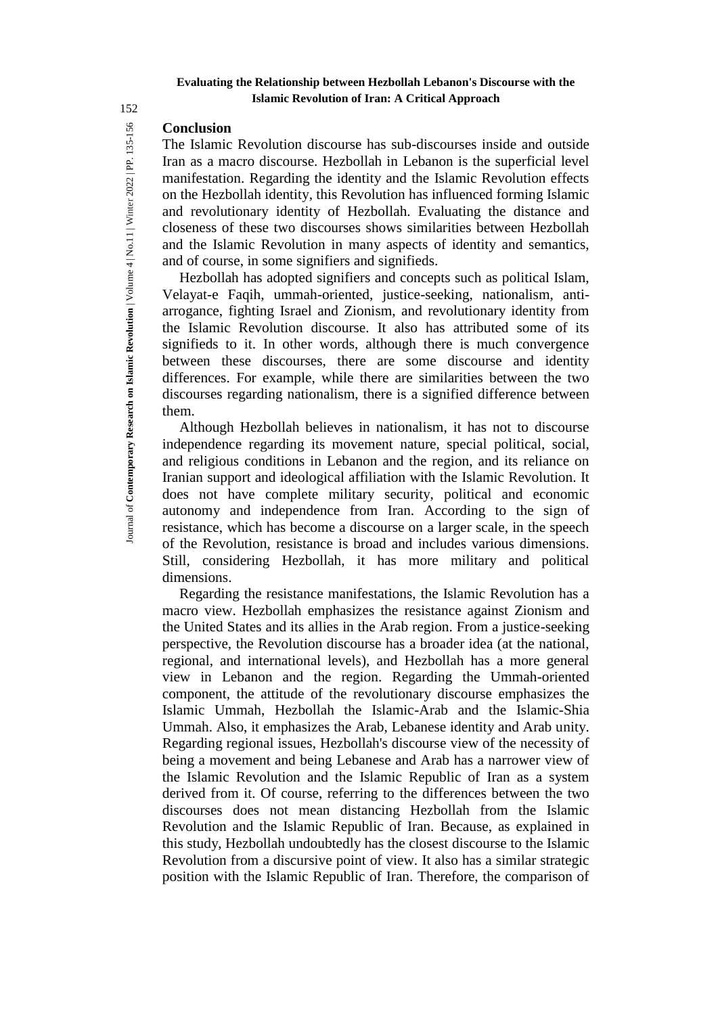# **Conclusion**

The Islamic Revolution discourse has sub-discourses inside and outside Iran as a macro discourse. Hezbollah in Lebanon is the superficial level manifestation. Regarding the identity and the Islamic Revolution effects on the Hezbollah identity, this Revolution has influenced forming Islamic and revolutionary identity of Hezbollah. Evaluating the distance and closeness of these two discourses shows similarities between Hezbollah and the Islamic Revolution in many aspects of identity and semantics, and of course, in some signifiers and signifieds.

Hezbollah has adopted signifiers and concepts such as political Islam, Velayat-e Faqih, ummah-oriented, justice-seeking, nationalism, antiarrogance, fighting Israel and Zionism, and revolutionary identity from the Islamic Revolution discourse. It also has attributed some of its signifieds to it. In other words, although there is much convergence between these discourses, there are some discourse and identity differences. For example, while there are similarities between the two discourses regarding nationalism, there is a signified difference between them.

Although Hezbollah believes in nationalism, it has not to discourse independence regarding its movement nature, special political, social, and religious conditions in Lebanon and the region, and its reliance on Iranian support and ideological affiliation with the Islamic Revolution. It does not have complete military security, political and economic autonomy and independence from Iran. According to the sign of resistance, which has become a discourse on a larger scale, in the speech of the Revolution, resistance is broad and includes various dimensions. Still, considering Hezbollah, it has more military and political dimensions.

Regarding the resistance manifestations, the Islamic Revolution has a macro view. Hezbollah emphasizes the resistance against Zionism and the United States and its allies in the Arab region. From a justice-seeking perspective, the Revolution discourse has a broader idea (at the national, regional, and international levels), and Hezbollah has a more general view in Lebanon and the region. Regarding the Ummah-oriented component, the attitude of the revolutionary discourse emphasizes the Islamic Ummah, Hezbollah the Islamic-Arab and the Islamic-Shia Ummah. Also, it emphasizes the Arab, Lebanese identity and Arab unity. Regarding regional issues, Hezbollah's discourse view of the necessity of being a movement and being Lebanese and Arab has a narrower view of the Islamic Revolution and the Islamic Republic of Iran as a system derived from it. Of course, referring to the differences between the two discourses does not mean distancing Hezbollah from the Islamic Revolution and the Islamic Republic of Iran. Because, as explained in this study, Hezbollah undoubtedly has the closest discourse to the Islamic Revolution from a discursive point of view. It also has a similar strategic position with the Islamic Republic of Iran. Therefore, the comparison of

152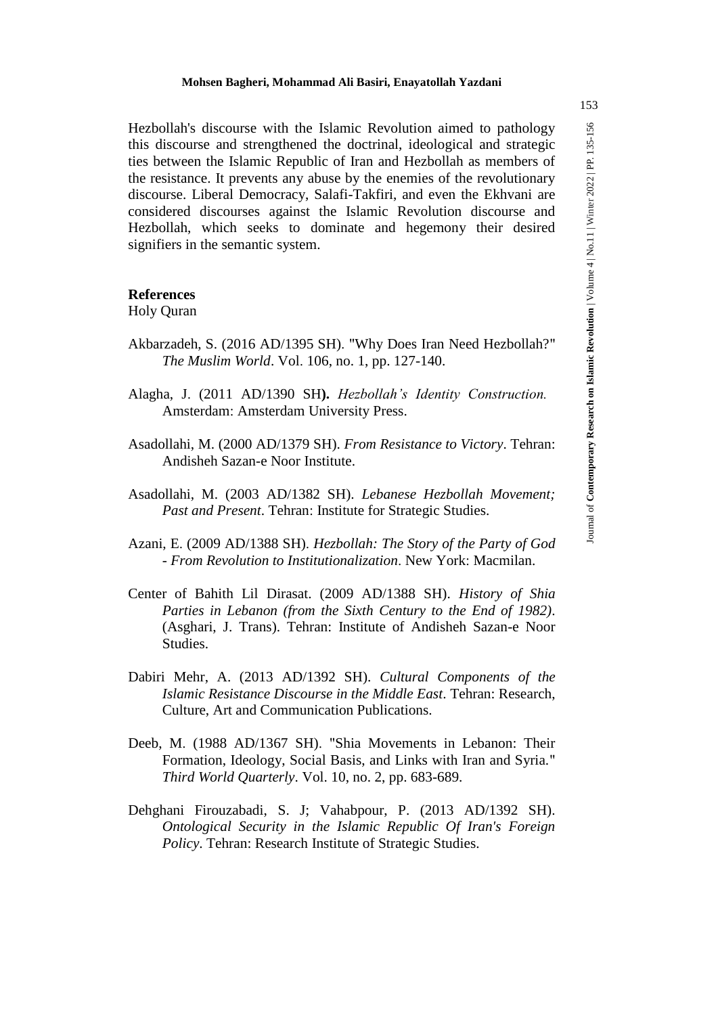Hezbollah's discourse with the Islamic Revolution aimed to pathology<br>
ties between end strengthened the doctrinal, ideological and strategic<br>
ties between the Islamic Republic of Iran and Hezbollah as members of<br>
the resi this discourse and strengthened the doctrinal, ideological and strategic ties between the Islamic Republic of Iran and Hezbollah as members of the resistance. It prevents any abuse by the enemies of the revolutionary discourse. Liberal Democracy, Salafi-Takfiri, and even the Ekhvani are considered discourses against the Islamic Revolution discourse and Hezbollah, which seeks to dominate and hegemony their desired signifiers in the semantic system.

# **References**

Holy Quran

- Akbarzadeh, S. (2016 AD/1395 SH). "Why Does Iran Need Hezbollah?" *The Muslim World*. Vol. 106, no. 1, pp. 127-140.
- Alagha, J. (2011 AD/1390 SH**).** *Hezbollah's Identity Construction.* Amsterdam: Amsterdam University Press.
- Asadollahi, M. (2000 AD/1379 SH). *From Resistance to Victory*. Tehran: Andisheh Sazan-e Noor Institute.
- Asadollahi, M. (2003 AD/1382 SH). *Lebanese Hezbollah Movement; Past and Present*. Tehran: Institute for Strategic Studies.
- Azani, E. (2009 AD/1388 SH). *Hezbollah: The Story of the Party of God - From Revolution to Institutionalization*. New York: Macmilan.
- Center of Bahith Lil Dirasat. (2009 AD/1388 SH). *History of Shia Parties in Lebanon (from the Sixth Century to the End of 1982)*. (Asghari, J. Trans). Tehran: Institute of Andisheh Sazan-e Noor Studies.
- Dabiri Mehr, A. (2013 AD/1392 SH). *Cultural Components of the Islamic Resistance Discourse in the Middle East*. Tehran: Research, Culture, Art and Communication Publications.
- Deeb, M. (1988 AD/1367 SH). "Shia Movements in Lebanon: Their Formation, Ideology, Social Basis, and Links with Iran and Syria." *Third World Quarterly*. Vol. 10, no. 2, pp. 683-689.
- Dehghani Firouzabadi, S. J; Vahabpour, P. (2013 AD/1392 SH). *Ontological Security in the Islamic Republic Of Iran's Foreign Policy*. Tehran: Research Institute of Strategic Studies.

153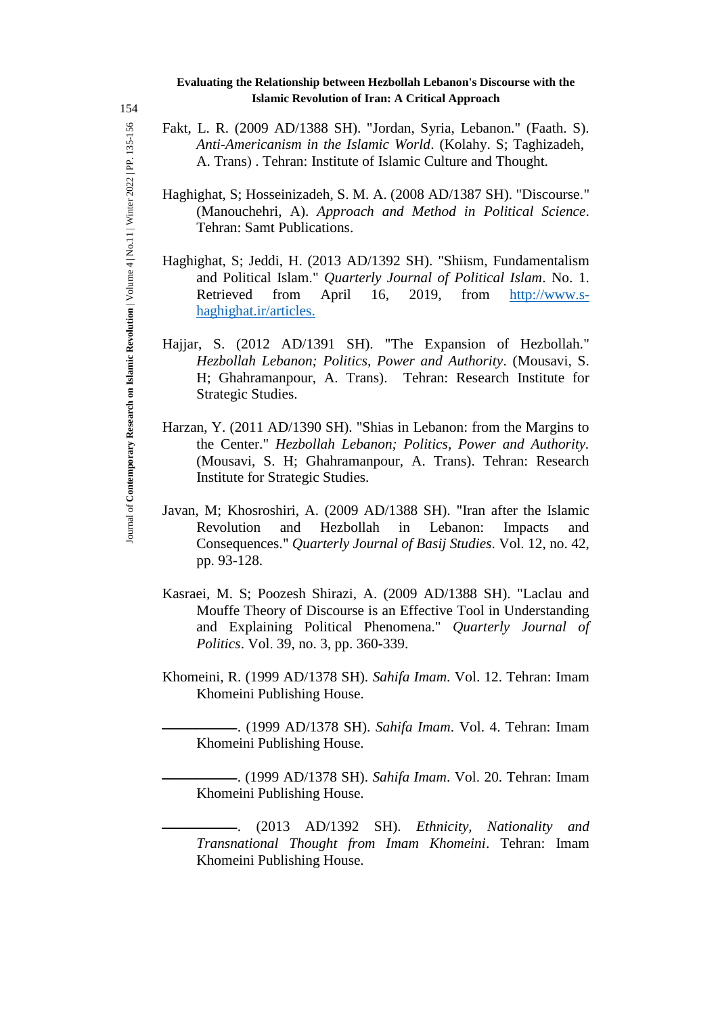Fakt, L. R. (2009 AD/1388 SH). "Jordan, Syria, Lebanon." (Faath. S). *Anti-Americanism in the Islamic World*. (Kolahy. S; Taghizadeh, A. Trans). Tehran: Institute of Islamic Culture and Thought.

- Haghighat, S; Hosseinizadeh, S. M. A. (2008 AD/1387 SH). "Discourse." (Manouchehri, A). *Approach and Method in Political Science*. Tehran: Samt Publications.
- Haghighat, S; Jeddi, H. (2013 AD/1392 SH). "Shiism, Fundamentalism and Political Islam." *Quarterly Journal of Political Islam*. No. 1. Retrieved from April 16, 2019, from http://www.shaghighat.ir/articles.
- Hajjar, S. (2012 AD/1391 SH). "The Expansion of Hezbollah." *Hezbollah Lebanon; Politics, Power and Authority*. (Mousavi, S. H; Ghahramanpour, A. Trans). Tehran: Research Institute for Strategic Studies.
- Harzan, Y. (2011 AD/1390 SH). "Shias in Lebanon: from the Margins to the Center." *Hezbollah Lebanon; Politics, Power and Authority.*  (Mousavi, S. H; Ghahramanpour, A. Trans). Tehran: Research Institute for Strategic Studies.
- Javan, M; Khosroshiri, A. (2009 AD/1388 SH). "Iran after the Islamic Revolution and Hezbollah in Lebanon: Impacts and Consequences." *Quarterly Journal of Basij Studies*. Vol. 12, no. 42, pp. 93-128.
- Kasraei, M. S; Poozesh Shirazi, A. (2009 AD/1388 SH). "Laclau and Mouffe Theory of Discourse is an Effective Tool in Understanding and Explaining Political Phenomena." *Quarterly Journal of Politics*. Vol. 39, no. 3, pp. 360-339.
- Khomeini, R. (1999 AD/1378 SH). *Sahifa Imam*. Vol. 12. Tehran: Imam Khomeini Publishing House.

ـــــــــــــــــــــــــ.) 1999 AD/1378 SH). *Sahifa Imam*. Vol. 4. Tehran: Imam Khomeini Publishing House.

ـــــــــــــــــــــــــ.) 1999 AD/1378 SH). *Sahifa Imam*. Vol. 20. Tehran: Imam Khomeini Publishing House.

ـــــــــــــــــــــــــ.) 2013 AD/1392 SH). *Ethnicity, Nationality and Transnational Thought from Imam Khomeini*. Tehran: Imam Khomeini Publishing House.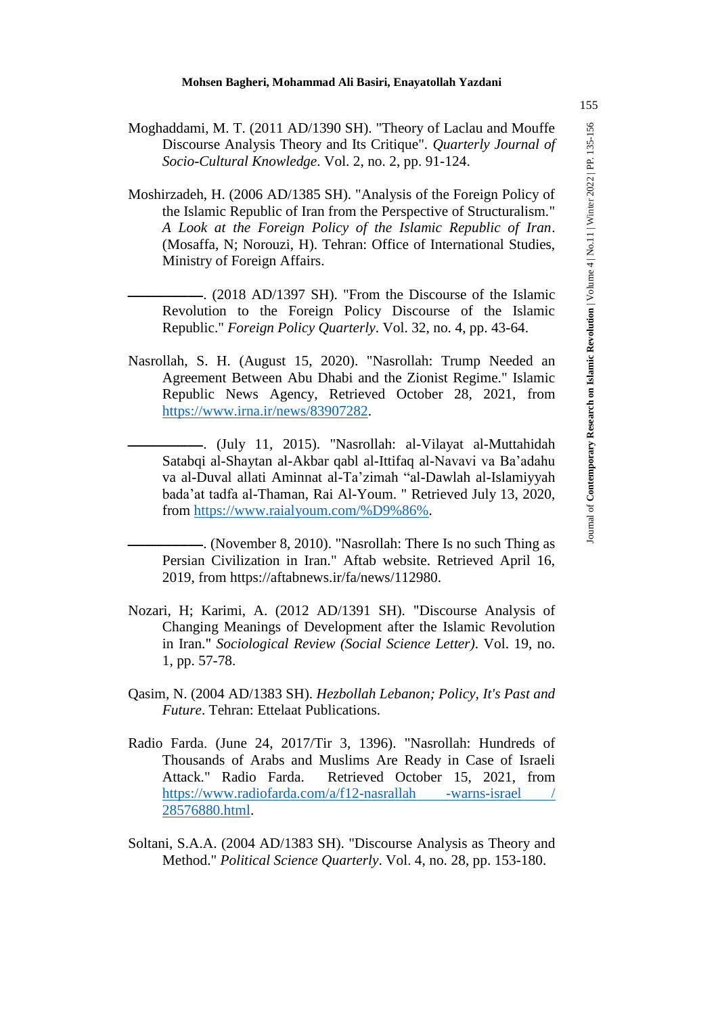- Discourse Analysis Theory and Its Critique". *Quarterly Journal of Socio-Cultural Knowledge*. Vol. 2, no. 2, pp. 91-124.
- Moghaddami, M. T. (2011 AD/1390 SH). "Theory of Laclau and Mouffe<br>
Discourse Analysis Theory and Its Critique". Quarterly Journal of<br>
Secio-Cultural Knowledge. Vol. 2, no. 2, pp. 91-124.<br>
Moshirzadah, H. (2006 AD/1385 SH) Moshirzadeh, H. (2006 AD/1385 SH). "Analysis of the Foreign Policy of the Islamic Republic of Iran from the Perspective of Structuralism." *A Look at the Foreign Policy of the Islamic Republic of Iran*. (Mosaffa, N; Norouzi, H). Tehran: Office of International Studies, Ministry of Foreign Affairs.
	- (2018 AD/1397 SH). "From the Discourse of the Islamic Revolution to the Foreign Policy Discourse of the Islamic Republic." *Foreign Policy Quarterly*. Vol. 32, no. 4, pp. 43-64.
- Nasrollah, S. H. (August 15, 2020). "Nasrollah: Trump Needed an Agreement Between Abu Dhabi and the Zionist Regime." Islamic Republic News Agency, Retrieved October 28, 2021, from https://www.irna.ir/news/83907282.
	- -- (July 11, 2015). "Nasrollah: al-Vilayat al-Muttahidah Satabqi al-Shaytan al-Akbar qabl al-Ittifaq al-Navavi va Ba'adahu va al-Duval allati Aminnat al-Ta'zimah "al-Dawlah al-Islamiyyah bada'at tadfa al-Thaman, Rai Al-Youm. " Retrieved July 13, 2020, from https://www.raialyoum.com/%D9%86%.

— (November 8, 2010). "Nasrollah: There Is no such Thing as Persian Civilization in Iran." Aftab website. Retrieved April 16, 2019, from https://aftabnews.ir/fa/news/112980.

- Nozari, H; Karimi, A. (2012 AD/1391 SH). "Discourse Analysis of Changing Meanings of Development after the Islamic Revolution in Iran." *Sociological Review (Social Science Letter)*. Vol. 19, no. 1, pp. 57-78.
- Qasim, N. (2004 AD/1383 SH). *Hezbollah Lebanon; Policy, It's Past and Future*. Tehran: Ettelaat Publications.
- Radio Farda. (June 24, 2017/Tir 3, 1396). "Nasrollah: Hundreds of Thousands of Arabs and Muslims Are Ready in Case of Israeli Attack." Radio Farda. Retrieved October 15, 2021, from https://www.radiofarda.com/a/f12-nasrallah -warns-israel / 28576880.html.
- Soltani, S.A.A. (2004 AD/1383 SH). "Discourse Analysis as Theory and Method." *Political Science Quarterly*. Vol. 4, no. 28, pp. 153-180.